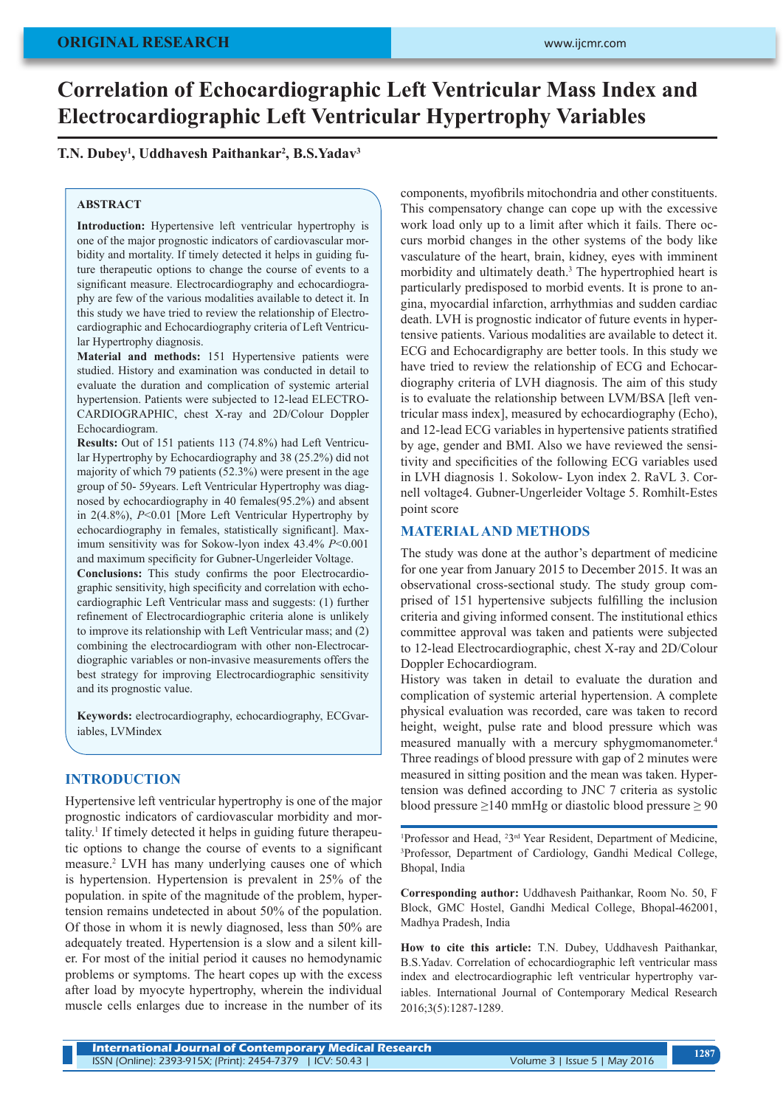# **Correlation of Echocardiographic Left Ventricular Mass Index and Electrocardiographic Left Ventricular Hypertrophy Variables**

# **T.N. Dubey1 , Uddhavesh Paithankar2 , B.S.Yadav3**

#### **ABSTRACT**

**Introduction:** Hypertensive left ventricular hypertrophy is one of the major prognostic indicators of cardiovascular morbidity and mortality. If timely detected it helps in guiding future therapeutic options to change the course of events to a significant measure. Electrocardiography and echocardiography are few of the various modalities available to detect it. In this study we have tried to review the relationship of Electrocardiographic and Echocardiography criteria of Left Ventricular Hypertrophy diagnosis.

**Material and methods:** 151 Hypertensive patients were studied. History and examination was conducted in detail to evaluate the duration and complication of systemic arterial hypertension. Patients were subjected to 12-lead ELECTRO-CARDIOGRAPHIC, chest X-ray and 2D/Colour Doppler Echocardiogram.

**Results:** Out of 151 patients 113 (74.8%) had Left Ventricular Hypertrophy by Echocardiography and 38 (25.2%) did not majority of which 79 patients (52.3%) were present in the age group of 50- 59years. Left Ventricular Hypertrophy was diagnosed by echocardiography in 40 females(95.2%) and absent in 2(4.8%), *P*<0.01 [More Left Ventricular Hypertrophy by echocardiography in females, statistically significant]. Maximum sensitivity was for Sokow-lyon index 43.4% *P*<0.001 and maximum specificity for Gubner-Ungerleider Voltage.

**Conclusions:** This study confirms the poor Electrocardiographic sensitivity, high specificity and correlation with echocardiographic Left Ventricular mass and suggests: (1) further refinement of Electrocardiographic criteria alone is unlikely to improve its relationship with Left Ventricular mass; and (2) combining the electrocardiogram with other non-Electrocardiographic variables or non-invasive measurements offers the best strategy for improving Electrocardiographic sensitivity and its prognostic value.

**Keywords:** electrocardiography, echocardiography, ECGvariables, LVMindex

## **INTRODUCTION**

Hypertensive left ventricular hypertrophy is one of the major prognostic indicators of cardiovascular morbidity and mortality.<sup>1</sup> If timely detected it helps in guiding future therapeutic options to change the course of events to a significant measure.2 LVH has many underlying causes one of which is hypertension. Hypertension is prevalent in 25% of the population. in spite of the magnitude of the problem, hypertension remains undetected in about 50% of the population. Of those in whom it is newly diagnosed, less than 50% are adequately treated. Hypertension is a slow and a silent killer. For most of the initial period it causes no hemodynamic problems or symptoms. The heart copes up with the excess after load by myocyte hypertrophy, wherein the individual muscle cells enlarges due to increase in the number of its

components, myofibrils mitochondria and other constituents. This compensatory change can cope up with the excessive work load only up to a limit after which it fails. There occurs morbid changes in the other systems of the body like vasculature of the heart, brain, kidney, eyes with imminent morbidity and ultimately death.<sup>3</sup> The hypertrophied heart is particularly predisposed to morbid events. It is prone to angina, myocardial infarction, arrhythmias and sudden cardiac death. LVH is prognostic indicator of future events in hypertensive patients. Various modalities are available to detect it. ECG and Echocardigraphy are better tools. In this study we have tried to review the relationship of ECG and Echocardiography criteria of LVH diagnosis. The aim of this study is to evaluate the relationship between LVM/BSA [left ventricular mass index], measured by echocardiography (Echo), and 12-lead ECG variables in hypertensive patients stratified by age, gender and BMI. Also we have reviewed the sensitivity and specificities of the following ECG variables used in LVH diagnosis 1. Sokolow- Lyon index 2. RaVL 3. Cornell voltage4. Gubner-Ungerleider Voltage 5. Romhilt-Estes point score

#### **MATERIAL AND METHODS**

The study was done at the author's department of medicine for one year from January 2015 to December 2015. It was an observational cross-sectional study. The study group comprised of 151 hypertensive subjects fulfilling the inclusion criteria and giving informed consent. The institutional ethics committee approval was taken and patients were subjected to 12-lead Electrocardiographic, chest X-ray and 2D/Colour Doppler Echocardiogram.

History was taken in detail to evaluate the duration and complication of systemic arterial hypertension. A complete physical evaluation was recorded, care was taken to record height, weight, pulse rate and blood pressure which was measured manually with a mercury sphygmomanometer.<sup>4</sup> Three readings of blood pressure with gap of 2 minutes were measured in sitting position and the mean was taken. Hypertension was defined according to JNC 7 criteria as systolic blood pressure  $\geq$ 140 mmHg or diastolic blood pressure  $\geq$  90

Professor and Head,  $^{2}3^{rd}$  Year Resident, Department of Medicine,  $^{3}$ Professor, Department of Cardiology, Gandhi, Medical College <sup>3</sup>Professor, Department of Cardiology, Gandhi Medical College, Bhopal, India

**Corresponding author:** Uddhavesh Paithankar, Room No. 50, F Block, GMC Hostel, Gandhi Medical College, Bhopal-462001, Madhya Pradesh, India

**How to cite this article:** T.N. Dubey, Uddhavesh Paithankar, B.S.Yadav. Correlation of echocardiographic left ventricular mass index and electrocardiographic left ventricular hypertrophy variables. International Journal of Contemporary Medical Research 2016;3(5):1287-1289.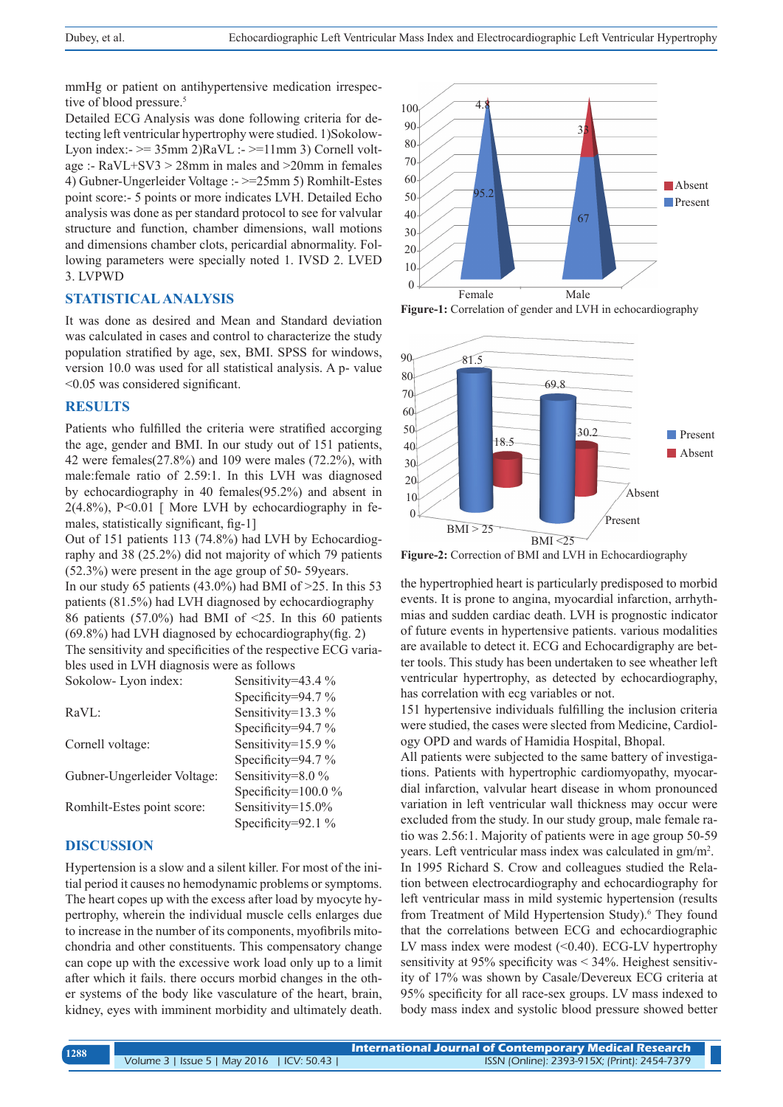mmHg or patient on antihypertensive medication irrespective of blood pressure.<sup>5</sup>

Detailed ECG Analysis was done following criteria for detecting left ventricular hypertrophy were studied. 1)Sokolow-Lyon index:-  $\ge$  35mm 2)RaVL :-  $\ge$  11mm 3) Cornell voltage :- RaVL+SV3 > 28mm in males and >20mm in females 4) Gubner-Ungerleider Voltage :- >=25mm 5) Romhilt-Estes point score:- 5 points or more indicates LVH. Detailed Echo analysis was done as per standard protocol to see for valvular structure and function, chamber dimensions, wall motions and dimensions chamber clots, pericardial abnormality. Following parameters were specially noted 1. IVSD 2. LVED 3. LVPWD

#### **STATISTICAL ANALYSIS**

It was done as desired and Mean and Standard deviation was calculated in cases and control to characterize the study population stratified by age, sex, BMI. SPSS for windows, version 10.0 was used for all statistical analysis. A p- value <0.05 was considered significant.

#### **RESULTS**

Patients who fulfilled the criteria were stratified accorging the age, gender and BMI. In our study out of 151 patients, 42 were females(27.8%) and 109 were males (72.2%), with male:female ratio of 2.59:1. In this LVH was diagnosed by echocardiography in 40 females(95.2%) and absent in  $2(4.8\%)$ , P<0.01 [ More LVH by echocardiography in females, statistically significant, fig-1]

Out of 151 patients 113 (74.8%) had LVH by Echocardiography and 38 (25.2%) did not majority of which 79 patients (52.3%) were present in the age group of 50- 59years.

In our study 65 patients  $(43.0\%)$  had BMI of  $>25$ . In this 53 patients (81.5%) had LVH diagnosed by echocardiography 86 patients (57.0%) had BMI of  $\leq$ 25. In this 60 patients (69.8%) had LVH diagnosed by echocardiography(fig. 2) The sensitivity and specificities of the respective ECG varia-

bles used in LVH diagnosis were as follows Sokolow-Lyon index: Sensitivity=43.4 %

| $0.0000000$ $\mu$ $1.00000$ | U                      |
|-----------------------------|------------------------|
|                             | Specificity=94.7 $%$   |
| RaVL:                       | Sensitivity=13.3 %     |
|                             | Specificity=94.7 $%$   |
| Cornell voltage:            | Sensitivity=15.9 %     |
|                             | Specificity=94.7 $%$   |
| Gubner-Ungerleider Voltage: | Sensitivity=8.0 %      |
|                             | Specificity= $100.0\%$ |
| Romhilt-Estes point score:  | Sensitivity=15.0%      |
|                             | Specificity=92.1 $%$   |
|                             |                        |

## **DISCUSSION**

Hypertension is a slow and a silent killer. For most of the initial period it causes no hemodynamic problems or symptoms. The heart copes up with the excess after load by myocyte hypertrophy, wherein the individual muscle cells enlarges due to increase in the number of its components, myofibrils mitochondria and other constituents. This compensatory change can cope up with the excessive work load only up to a limit after which it fails. there occurs morbid changes in the other systems of the body like vasculature of the heart, brain, kidney, eyes with imminent morbidity and ultimately death.



Figure-1: Correlation of gender and LVH in echocardiography



**Figure-2:** Correction of BMI and LVH in Echocardiography

the hypertrophied heart is particularly predisposed to morbid events. It is prone to angina, myocardial infarction, arrhythmias and sudden cardiac death. LVH is prognostic indicator of future events in hypertensive patients. various modalities are available to detect it. ECG and Echocardigraphy are better tools. This study has been undertaken to see wheather left ventricular hypertrophy, as detected by echocardiography, has correlation with ecg variables or not.

151 hypertensive individuals fulfilling the inclusion criteria were studied, the cases were slected from Medicine, Cardiology OPD and wards of Hamidia Hospital, Bhopal.

All patients were subjected to the same battery of investigations. Patients with hypertrophic cardiomyopathy, myocardial infarction, valvular heart disease in whom pronounced variation in left ventricular wall thickness may occur were excluded from the study. In our study group, male female ratio was 2.56:1. Majority of patients were in age group 50-59 years. Left ventricular mass index was calculated in gm/m<sup>2</sup> . In 1995 Richard S. Crow and colleagues studied the Relation between electrocardiography and echocardiography for left ventricular mass in mild systemic hypertension (results from Treatment of Mild Hypertension Study).<sup>6</sup> They found that the correlations between ECG and echocardiographic LV mass index were modest  $( $0.40$ ). ECG-LV hypertrophy$ sensitivity at 95% specificity was < 34%. Heighest sensitivity of 17% was shown by Casale/Devereux ECG criteria at 95% specificity for all race-sex groups. LV mass indexed to body mass index and systolic blood pressure showed better